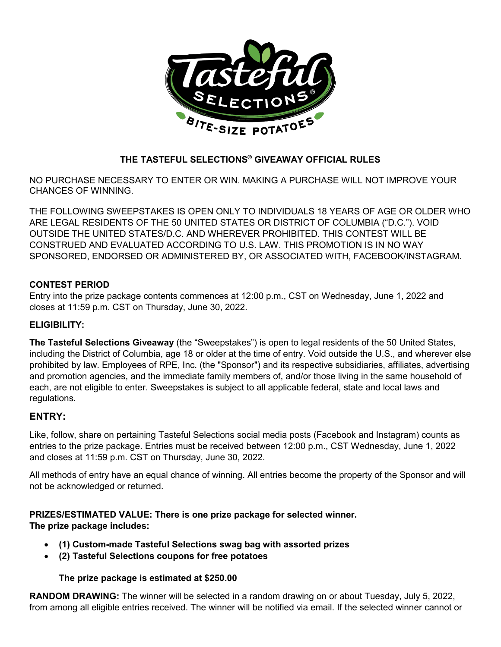

# **THE TASTEFUL SELECTIONS® GIVEAWAY OFFICIAL RULES**

NO PURCHASE NECESSARY TO ENTER OR WIN. MAKING A PURCHASE WILL NOT IMPROVE YOUR CHANCES OF WINNING.

THE FOLLOWING SWEEPSTAKES IS OPEN ONLY TO INDIVIDUALS 18 YEARS OF AGE OR OLDER WHO ARE LEGAL RESIDENTS OF THE 50 UNITED STATES OR DISTRICT OF COLUMBIA ("D.C."). VOID OUTSIDE THE UNITED STATES/D.C. AND WHEREVER PROHIBITED. THIS CONTEST WILL BE CONSTRUED AND EVALUATED ACCORDING TO U.S. LAW. THIS PROMOTION IS IN NO WAY SPONSORED, ENDORSED OR ADMINISTERED BY, OR ASSOCIATED WITH, FACEBOOK/INSTAGRAM.

## **CONTEST PERIOD**

Entry into the prize package contents commences at 12:00 p.m., CST on Wednesday, June 1, 2022 and closes at 11:59 p.m. CST on Thursday, June 30, 2022.

## **ELIGIBILITY:**

**The Tasteful Selections Giveaway** (the "Sweepstakes") is open to legal residents of the 50 United States, including the District of Columbia, age 18 or older at the time of entry. Void outside the U.S., and wherever else prohibited by law. Employees of RPE, Inc. (the "Sponsor") and its respective subsidiaries, affiliates, advertising and promotion agencies, and the immediate family members of, and/or those living in the same household of each, are not eligible to enter. Sweepstakes is subject to all applicable federal, state and local laws and regulations.

## **ENTRY:**

Like, follow, share on pertaining Tasteful Selections social media posts (Facebook and Instagram) counts as entries to the prize package. Entries must be received between 12:00 p.m., CST Wednesday, June 1, 2022 and closes at 11:59 p.m. CST on Thursday, June 30, 2022.

All methods of entry have an equal chance of winning. All entries become the property of the Sponsor and will not be acknowledged or returned.

**PRIZES/ESTIMATED VALUE: There is one prize package for selected winner. The prize package includes:**

- **(1) Custom-made Tasteful Selections swag bag with assorted prizes**
- **(2) Tasteful Selections coupons for free potatoes**

### **The prize package is estimated at \$250.00**

**RANDOM DRAWING:** The winner will be selected in a random drawing on or about Tuesday, July 5, 2022, from among all eligible entries received. The winner will be notified via email. If the selected winner cannot or